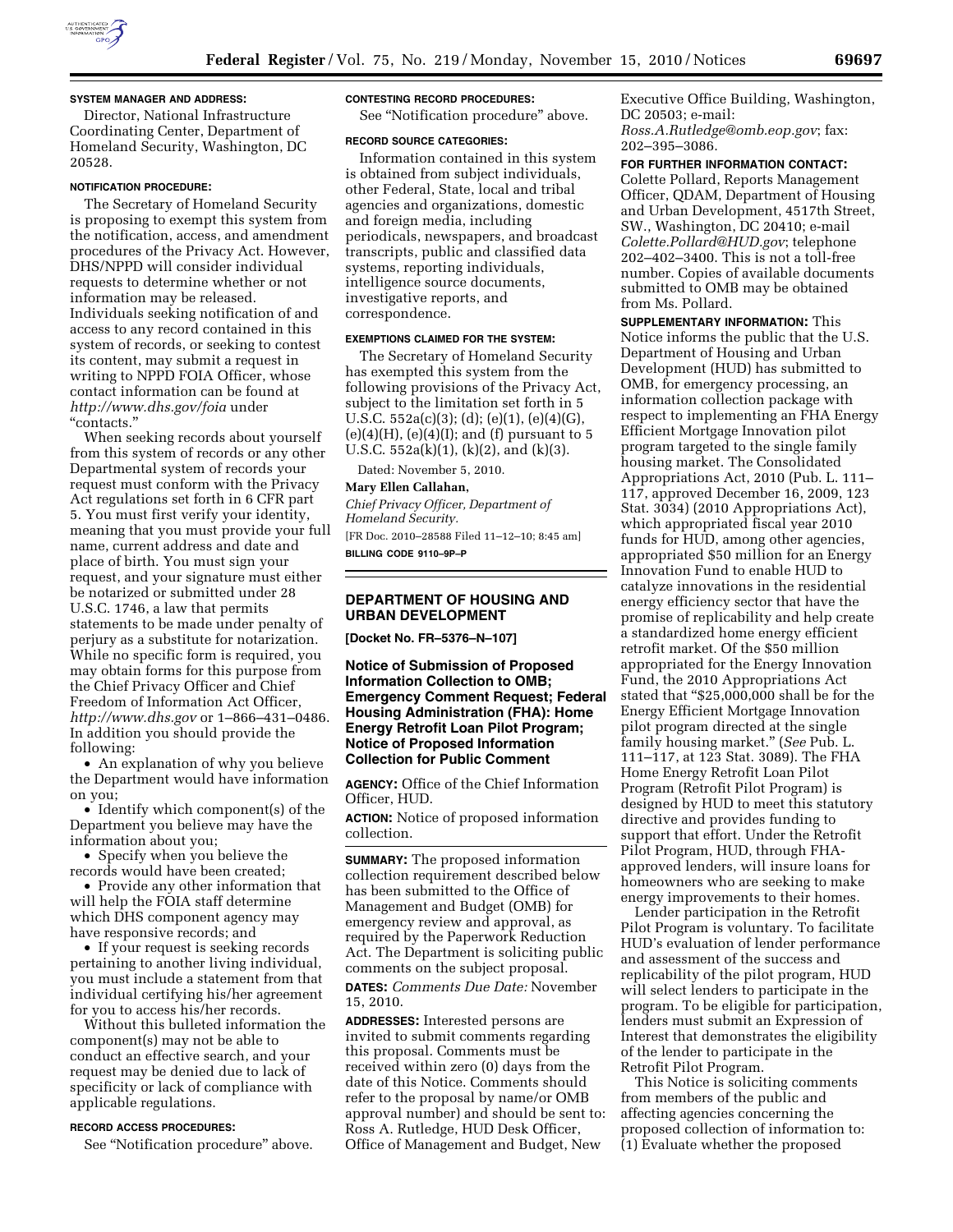

## **SYSTEM MANAGER AND ADDRESS:**

Director, National Infrastructure Coordinating Center, Department of Homeland Security, Washington, DC 20528.

## **NOTIFICATION PROCEDURE:**

The Secretary of Homeland Security is proposing to exempt this system from the notification, access, and amendment procedures of the Privacy Act. However, DHS/NPPD will consider individual requests to determine whether or not information may be released. Individuals seeking notification of and access to any record contained in this system of records, or seeking to contest its content, may submit a request in writing to NPPD FOIA Officer, whose contact information can be found at *<http://www.dhs.gov/foia>*under ''contacts.''

When seeking records about yourself from this system of records or any other Departmental system of records your request must conform with the Privacy Act regulations set forth in 6 CFR part 5. You must first verify your identity, meaning that you must provide your full name, current address and date and place of birth. You must sign your request, and your signature must either be notarized or submitted under 28 U.S.C. 1746, a law that permits statements to be made under penalty of perjury as a substitute for notarization. While no specific form is required, you may obtain forms for this purpose from the Chief Privacy Officer and Chief Freedom of Information Act Officer, *<http://www.dhs.gov>* or 1–866–431–0486. In addition you should provide the following:

• An explanation of why you believe the Department would have information on you;

• Identify which component(s) of the Department you believe may have the information about you;

• Specify when you believe the records would have been created;

• Provide any other information that will help the FOIA staff determine which DHS component agency may have responsive records; and

• If your request is seeking records pertaining to another living individual, you must include a statement from that individual certifying his/her agreement for you to access his/her records.

Without this bulleted information the component(s) may not be able to conduct an effective search, and your request may be denied due to lack of specificity or lack of compliance with applicable regulations.

#### **RECORD ACCESS PROCEDURES:**

See ''Notification procedure'' above.

#### **CONTESTING RECORD PROCEDURES:**

See ''Notification procedure'' above.

#### **RECORD SOURCE CATEGORIES:**

Information contained in this system is obtained from subject individuals, other Federal, State, local and tribal agencies and organizations, domestic and foreign media, including periodicals, newspapers, and broadcast transcripts, public and classified data systems, reporting individuals, intelligence source documents, investigative reports, and correspondence.

## **EXEMPTIONS CLAIMED FOR THE SYSTEM:**

The Secretary of Homeland Security has exempted this system from the following provisions of the Privacy Act, subject to the limitation set forth in 5 U.S.C. 552a(c)(3); (d); (e)(1), (e)(4)(G),  $(e)(4)(H)$ ,  $(e)(4)(I)$ ; and  $(f)$  pursuant to 5 U.S.C.  $552a(k)(1)$ ,  $(k)(2)$ , and  $(k)(3)$ .

Dated: November 5, 2010.

### **Mary Ellen Callahan,**

*Chief Privacy Officer, Department of Homeland Security.*  [FR Doc. 2010–28588 Filed 11–12–10; 8:45 am] **BILLING CODE 9110–9P–P** 

# **DEPARTMENT OF HOUSING AND URBAN DEVELOPMENT**

**[Docket No. FR–5376–N–107]** 

**Notice of Submission of Proposed Information Collection to OMB; Emergency Comment Request; Federal Housing Administration (FHA): Home Energy Retrofit Loan Pilot Program; Notice of Proposed Information Collection for Public Comment** 

**AGENCY:** Office of the Chief Information Officer, HUD.

**ACTION:** Notice of proposed information collection.

**SUMMARY:** The proposed information collection requirement described below has been submitted to the Office of Management and Budget (OMB) for emergency review and approval, as required by the Paperwork Reduction Act. The Department is soliciting public comments on the subject proposal. **DATES:** *Comments Due Date:* November 15, 2010.

**ADDRESSES:** Interested persons are invited to submit comments regarding this proposal. Comments must be received within zero (0) days from the date of this Notice. Comments should refer to the proposal by name/or OMB approval number) and should be sent to: Ross A. Rutledge, HUD Desk Officer, Office of Management and Budget, New

Executive Office Building, Washington, DC 20503; e-mail: *[Ross.A.Rutledge@omb.eop.gov](mailto:Ross.A.Rutledge@omb.eop.gov)*; fax: 202–395–3086.

**FOR FURTHER INFORMATION CONTACT:** 

Colette Pollard, Reports Management Officer, QDAM, Department of Housing and Urban Development, 4517th Street, SW., Washington, DC 20410; e-mail *[Colette.Pollard@HUD.gov](mailto:Colette.Pollard@HUD.gov)*; telephone 202–402–3400. This is not a toll-free number. Copies of available documents submitted to OMB may be obtained from Ms. Pollard.

**SUPPLEMENTARY INFORMATION:** This Notice informs the public that the U.S. Department of Housing and Urban Development (HUD) has submitted to OMB, for emergency processing, an information collection package with respect to implementing an FHA Energy Efficient Mortgage Innovation pilot program targeted to the single family housing market. The Consolidated Appropriations Act, 2010 (Pub. L. 111– 117, approved December 16, 2009, 123 Stat. 3034) (2010 Appropriations Act), which appropriated fiscal year 2010 funds for HUD, among other agencies, appropriated \$50 million for an Energy Innovation Fund to enable HUD to catalyze innovations in the residential energy efficiency sector that have the promise of replicability and help create a standardized home energy efficient retrofit market. Of the \$50 million appropriated for the Energy Innovation Fund, the 2010 Appropriations Act stated that "\$25,000,000 shall be for the Energy Efficient Mortgage Innovation pilot program directed at the single family housing market.'' (*See* Pub. L. 111–117, at 123 Stat. 3089). The FHA Home Energy Retrofit Loan Pilot Program (Retrofit Pilot Program) is designed by HUD to meet this statutory directive and provides funding to support that effort. Under the Retrofit Pilot Program, HUD, through FHAapproved lenders, will insure loans for homeowners who are seeking to make energy improvements to their homes.

Lender participation in the Retrofit Pilot Program is voluntary. To facilitate HUD's evaluation of lender performance and assessment of the success and replicability of the pilot program, HUD will select lenders to participate in the program. To be eligible for participation, lenders must submit an Expression of Interest that demonstrates the eligibility of the lender to participate in the Retrofit Pilot Program.

This Notice is soliciting comments from members of the public and affecting agencies concerning the proposed collection of information to: (1) Evaluate whether the proposed